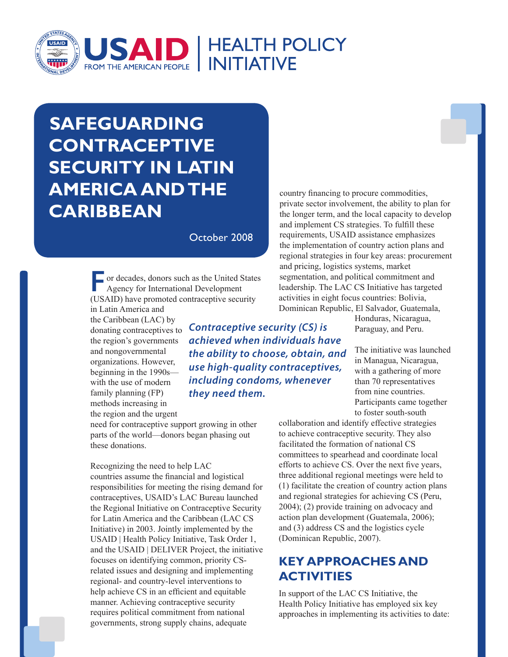

# **SAFEGUARDING CONTRACEPTIVE SECURITY IN LATIN AMERICA ANDTHE CARIBBEAN**

October 2008

**For decades, donors such as the United States** Agency for International Development (USAID) have promoted contraceptive security

in Latin America and the Caribbean (LAC) by donating contraceptives to the region's governments and nongovernmental organizations. However, beginning in the 1990s with the use of modern family planning (FP) methods increasing in the region and the urgent

need for contraceptive support growing in other parts of the world—donors began phasing out these donations.

Recognizing the need to help LAC countries assume the financial and logistical responsibilities for meeting the rising demand for contraceptives, USAID's LAC Bureau launched the Regional Initiative on Contraceptive Security for Latin America and the Caribbean (LAC CS Initiative) in 2003. Jointly implemented by the USAID | Health Policy Initiative, Task Order 1, and the USAID | DELIVER Project, the initiative focuses on identifying common, priority CSrelated issues and designing and implementing regional- and country-level interventions to help achieve CS in an efficient and equitable manner. Achieving contraceptive security requires political commitment from national governments, strong supply chains, adequate

country financing to procure commodities, private sector involvement, the ability to plan for the longer term, and the local capacity to develop and implement CS strategies. To fulfill these requirements, USAID assistance emphasizes the implementation of country action plans and regional strategies in four key areas: procurement and pricing, logistics systems, market segmentation, and political commitment and leadership. The LAC CS Initiative has targeted activities in eight focus countries: Bolivia, Dominican Republic, El Salvador, Guatemala,

> Honduras, Nicaragua, Paraguay, and Peru.

The initiative was launched in Managua, Nicaragua, with a gathering of more than 70 representatives from nine countries. Participants came together to foster south-south

collaboration and identify effective strategies to achieve contraceptive security. They also facilitated the formation of national CS committees to spearhead and coordinate local efforts to achieve CS. Over the next five years, three additional regional meetings were held to (1) facilitate the creation of country action plans and regional strategies for achieving CS (Peru, 2004); (2) provide training on advocacy and action plan development (Guatemala, 2006); and (3) address CS and the logistics cycle (Dominican Republic, 2007).

## **Key Approaches and ACTIVITIES**

In support of the LAC CS Initiative, the Health Policy Initiative has employed six key approaches in implementing its activities to date:

*achieved when individuals have the ability to choose, obtain, and use high-quality contraceptives, including condoms, whenever they need them.*

*Contraceptive security (CS) is*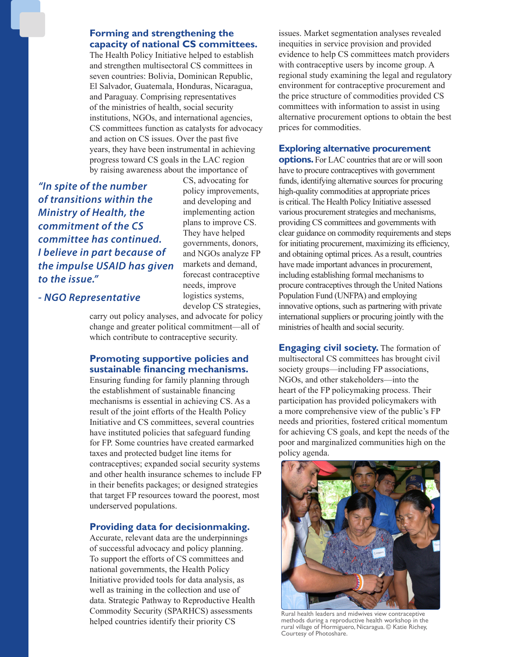#### **Forming and strengthening the capacity of national CS committees.**

The Health Policy Initiative helped to establish and strengthen multisectoral CS committees in seven countries: Bolivia, Dominican Republic, El Salvador, Guatemala, Honduras, Nicaragua, and Paraguay. Comprising representatives of the ministries of health, social security institutions, NGOs, and international agencies, CS committees function as catalysts for advocacy and action on CS issues. Over the past five years, they have been instrumental in achieving progress toward CS goals in the LAC region by raising awareness about the importance of

*"In spite of the number of transitions within the Ministry of Health, the commitment of the CS committee has continued. I believe in part because of the impulse USAID has given to the issue."*

CS, advocating for policy improvements, and developing and implementing action plans to improve CS. They have helped governments, donors, and NGOs analyze FP markets and demand, forecast contraceptive needs, improve logistics systems, develop CS strategies,

*- NGO Representative*

carry out policy analyses, and advocate for policy change and greater political commitment—all of which contribute to contraceptive security.

### **Promoting supportive policies and sustainable financing mechanisms.**

Ensuring funding for family planning through the establishment of sustainable financing mechanisms is essential in achieving CS. As a result of the joint efforts of the Health Policy Initiative and CS committees, several countries have instituted policies that safeguard funding for FP. Some countries have created earmarked taxes and protected budget line items for contraceptives; expanded social security systems and other health insurance schemes to include FP in their benefits packages; or designed strategies that target FP resources toward the poorest, most underserved populations.

### **Providing data for decisionmaking.**

Accurate, relevant data are the underpinnings of successful advocacy and policy planning. To support the efforts of CS committees and national governments, the Health Policy Initiative provided tools for data analysis, as well as training in the collection and use of data. Strategic Pathway to Reproductive Health Commodity Security (SPARHCS) assessments helped countries identify their priority CS

issues. Market segmentation analyses revealed inequities in service provision and provided evidence to help CS committees match providers with contraceptive users by income group. A regional study examining the legal and regulatory environment for contraceptive procurement and the price structure of commodities provided CS committees with information to assist in using alternative procurement options to obtain the best prices for commodities.

#### **Exploring alternative procurement**

**options.** For LAC countries that are or will soon have to procure contraceptives with government funds, identifying alternative sources for procuring high-quality commodities at appropriate prices is critical. The Health Policy Initiative assessed various procurement strategies and mechanisms, providing CS committees and governments with clear guidance on commodity requirements and steps for initiating procurement, maximizing its efficiency, and obtaining optimal prices. As a result, countries have made important advances in procurement, including establishing formal mechanisms to procure contraceptives through the United Nations Population Fund (UNFPA) and employing innovative options, such as partnering with private international suppliers or procuring jointly with the ministries of health and social security.

**Engaging civil society.** The formation of multisectoral CS committees has brought civil society groups—including FP associations, NGOs, and other stakeholders—into the heart of the FP policymaking process. Their participation has provided policymakers with a more comprehensive view of the public's FP needs and priorities, fostered critical momentum for achieving CS goals, and kept the needs of the poor and marginalized communities high on the policy agenda.



Rural health leaders and midwives view contraceptive methods during a reproductive health workshop in the rural village of Hormiguero, Nicaragua. © Katie Richey, Courtesy of Photoshare.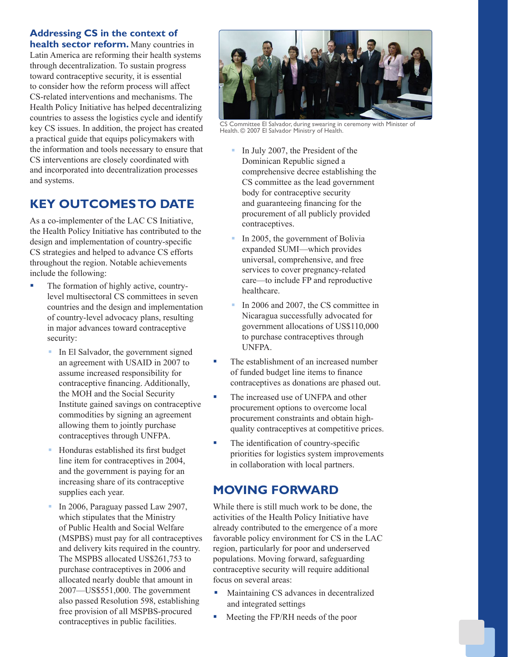### **Addressing CS in the context of**

**health sector reform.** Many countries in Latin America are reforming their health systems through decentralization. To sustain progress toward contraceptive security, it is essential to consider how the reform process will affect CS-related interventions and mechanisms. The Health Policy Initiative has helped decentralizing countries to assess the logistics cycle and identify key CS issues. In addition, the project has created a practical guide that equips policymakers with the information and tools necessary to ensure that CS interventions are closely coordinated with and incorporated into decentralization processes and systems.

# **Key oUtcoMes to dAte**

As a co-implementer of the LAC CS Initiative, the Health Policy Initiative has contributed to the design and implementation of country-specific CS strategies and helped to advance CS efforts throughout the region. Notable achievements include the following:

- The formation of highly active, countrylevel multisectoral CS committees in seven countries and the design and implementation of country-level advocacy plans, resulting in major advances toward contraceptive security:
	- In El Salvador, the government signed an agreement with USAID in 2007 to assume increased responsibility for contraceptive financing. Additionally, the MOH and the Social Security Institute gained savings on contraceptive commodities by signing an agreement allowing them to jointly purchase contraceptives through UNFPA.
	- Honduras established its first budget line item for contraceptives in 2004, and the government is paying for an increasing share of its contraceptive supplies each year.
	- In 2006, Paraguay passed Law 2907, which stipulates that the Ministry of Public Health and Social Welfare (MSPBS) must pay for all contraceptives and delivery kits required in the country. The MSPBS allocated US\$261,753 to purchase contraceptives in 2006 and allocated nearly double that amount in 2007—US\$551,000. The government also passed Resolution 598, establishing free provision of all MSPBS-procured contraceptives in public facilities.



CS Committee El Salvador, during swearing in ceremony with Minister of Health. © 2007 El Salvador Ministry of Health.

- In July 2007, the President of the Dominican Republic signed a comprehensive decree establishing the CS committee as the lead government body for contraceptive security and guaranteeing financing for the procurement of all publicly provided contraceptives.
- In 2005, the government of Bolivia expanded SUMI—which provides universal, comprehensive, and free services to cover pregnancy-related care—to include FP and reproductive healthcare.
- In 2006 and 2007, the CS committee in Nicaragua successfully advocated for government allocations of US\$110,000 to purchase contraceptives through UNFPA.
- The establishment of an increased number of funded budget line items to finance contraceptives as donations are phased out.
- The increased use of UNFPA and other procurement options to overcome local procurement constraints and obtain highquality contraceptives at competitive prices.
- The identification of country-specific priorities for logistics system improvements in collaboration with local partners.

### **MovinG ForwArd**

While there is still much work to be done, the activities of the Health Policy Initiative have already contributed to the emergence of a more favorable policy environment for CS in the LAC region, particularly for poor and underserved populations. Moving forward, safeguarding contraceptive security will require additional focus on several areas:

- Maintaining CS advances in decentralized and integrated settings
- $\blacksquare$  Meeting the FP/RH needs of the poor